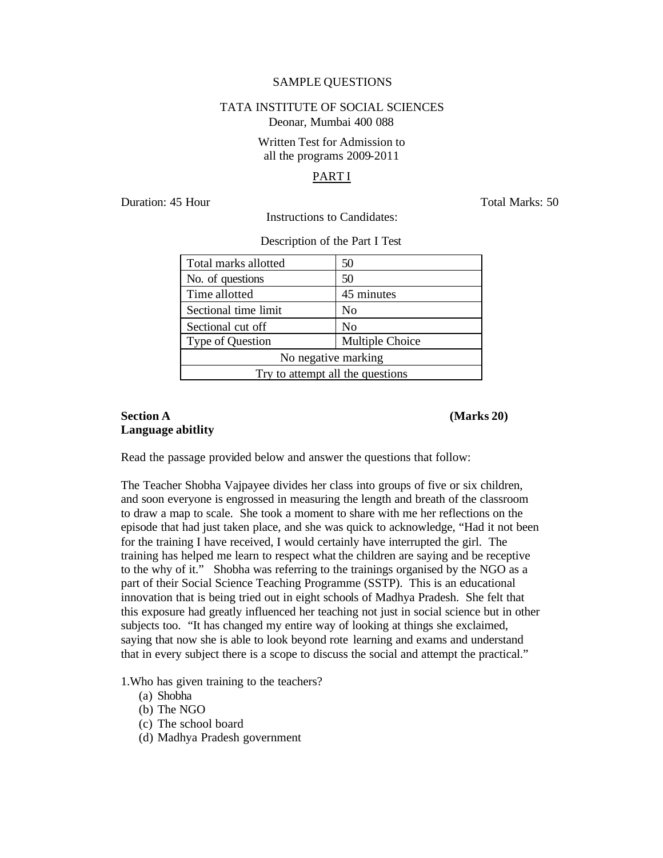#### SAMPLE QUESTIONS

#### TATA INSTITUTE OF SOCIAL SCIENCES Deonar, Mumbai 400 088

## Written Test for Admission to all the programs 2009-2011

#### PART I

Duration: 45 Hour Total Marks: 50

Description of the Part I Test

Instructions to Candidates:

| Total marks allotted             | 50              |  |
|----------------------------------|-----------------|--|
| No. of questions                 | 50              |  |
| Time allotted                    | 45 minutes      |  |
| Sectional time limit             | No              |  |
| Sectional cut off                | N <sub>0</sub>  |  |
| Type of Question                 | Multiple Choice |  |
| No negative marking              |                 |  |
| Try to attempt all the questions |                 |  |

## **Section A (Marks 20) Language abitlity**

Read the passage provided below and answer the questions that follow:

The Teacher Shobha Vajpayee divides her class into groups of five or six children, and soon everyone is engrossed in measuring the length and breath of the classroom to draw a map to scale. She took a moment to share with me her reflections on the episode that had just taken place, and she was quick to acknowledge, "Had it not been for the training I have received, I would certainly have interrupted the girl. The training has helped me learn to respect what the children are saying and be receptive to the why of it." Shobha was referring to the trainings organised by the NGO as a part of their Social Science Teaching Programme (SSTP). This is an educational innovation that is being tried out in eight schools of Madhya Pradesh. She felt that this exposure had greatly influenced her teaching not just in social science but in other subjects too. "It has changed my entire way of looking at things she exclaimed, saying that now she is able to look beyond rote learning and exams and understand that in every subject there is a scope to discuss the social and attempt the practical."

1.Who has given training to the teachers?

- (a) Shobha
- (b) The NGO
- (c) The school board
- (d) Madhya Pradesh government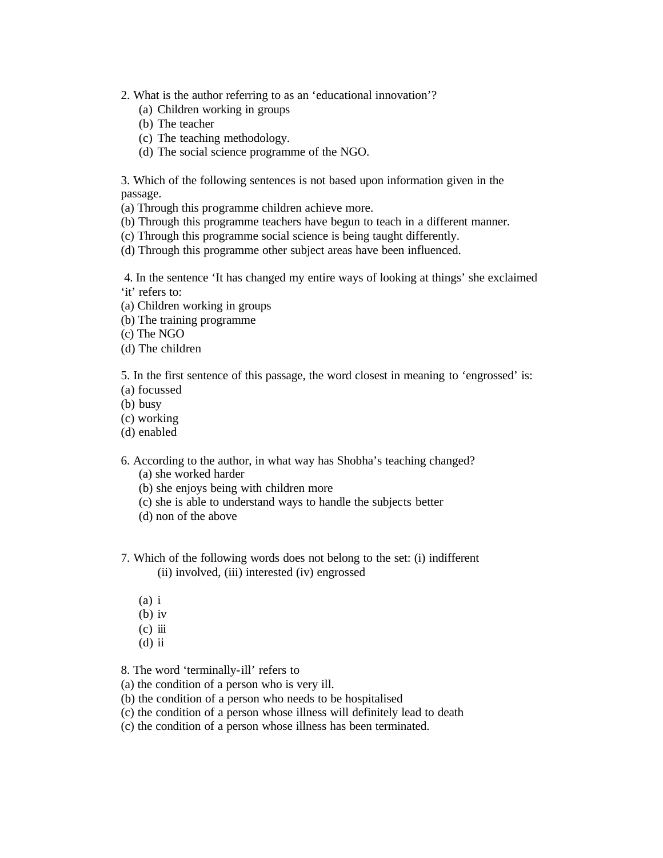- 2. What is the author referring to as an 'educational innovation'?
	- (a) Children working in groups
	- (b) The teacher
	- (c) The teaching methodology.
	- (d) The social science programme of the NGO.

3. Which of the following sentences is not based upon information given in the passage.

(a) Through this programme children achieve more.

- (b) Through this programme teachers have begun to teach in a different manner.
- (c) Through this programme social science is being taught differently.
- (d) Through this programme other subject areas have been influenced.

4. In the sentence 'It has changed my entire ways of looking at things' she exclaimed 'it' refers to:

- (a) Children working in groups
- (b) The training programme
- (c) The NGO
- (d) The children

5. In the first sentence of this passage, the word closest in meaning to 'engrossed' is:

- (a) focussed
- (b) busy
- (c) working
- (d) enabled

6. According to the author, in what way has Shobha's teaching changed?

- (a) she worked harder
- (b) she enjoys being with children more
- (c) she is able to understand ways to handle the subjects better
- (d) non of the above
- 7. Which of the following words does not belong to the set: (i) indifferent (ii) involved, (iii) interested (iv) engrossed
	- (a) i
	- (b) iv
	- $(c)$  iii
	- $(d)$  ii

8. The word 'terminally-ill' refers to

- (a) the condition of a person who is very ill.
- (b) the condition of a person who needs to be hospitalised
- (c) the condition of a person whose illness will definitely lead to death
- (c) the condition of a person whose illness has been terminated.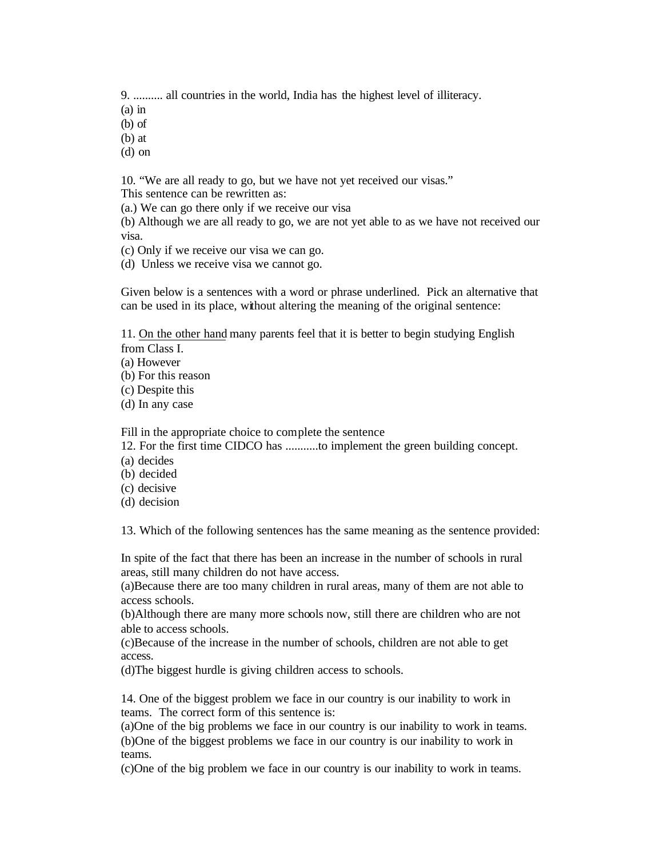9. .......... all countries in the world, India has the highest level of illiteracy.

(a) in

(b) of

(b) at

(d) on

10. "We are all ready to go, but we have not yet received our visas."

This sentence can be rewritten as:

(a.) We can go there only if we receive our visa

(b) Although we are all ready to go, we are not yet able to as we have not received our visa.

(c) Only if we receive our visa we can go.

(d) Unless we receive visa we cannot go.

Given below is a sentences with a word or phrase underlined. Pick an alternative that can be used in its place, without altering the meaning of the original sentence:

11. On the other hand many parents feel that it is better to begin studying English from Class I.

(a) However

(b) For this reason

(c) Despite this

(d) In any case

Fill in the appropriate choice to complete the sentence

12. For the first time CIDCO has ...........to implement the green building concept.

(a) decides

(b) decided

(c) decisive

(d) decision

13. Which of the following sentences has the same meaning as the sentence provided:

In spite of the fact that there has been an increase in the number of schools in rural areas, still many children do not have access.

(a)Because there are too many children in rural areas, many of them are not able to access schools.

(b)Although there are many more schools now, still there are children who are not able to access schools.

(c)Because of the increase in the number of schools, children are not able to get access.

(d)The biggest hurdle is giving children access to schools.

14. One of the biggest problem we face in our country is our inability to work in teams. The correct form of this sentence is:

(a)One of the big problems we face in our country is our inability to work in teams. (b)One of the biggest problems we face in our country is our inability to work in teams.

(c)One of the big problem we face in our country is our inability to work in teams.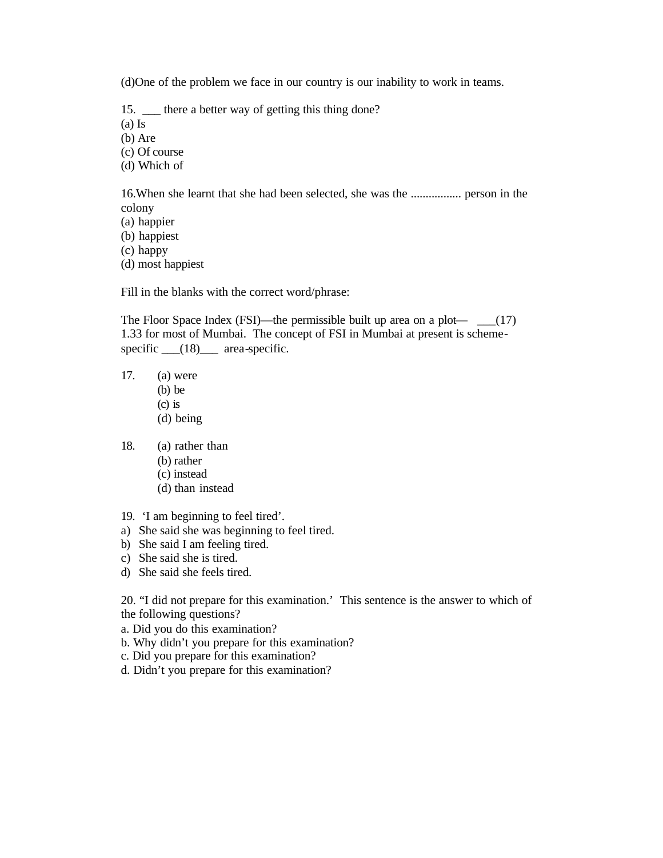(d)One of the problem we face in our country is our inability to work in teams.

15. <u>Let</u> there a better way of getting this thing done?

(a) Is

(b) Are

(c) Of course

(d) Which of

16.When she learnt that she had been selected, she was the ................. person in the colony

(a) happier

(b) happiest

(c) happy

(d) most happiest

Fill in the blanks with the correct word/phrase:

The Floor Space Index (FSI)—the permissible built up area on a plot— $\quad$  (17) 1.33 for most of Mumbai. The concept of FSI in Mumbai at present is schemespecific \_\_\_(18)\_\_\_ area-specific.

17. (a) were (b) be (c) is

(d) being

18. (a) rather than

- (b) rather
- (c) instead
- (d) than instead
- 19. 'I am beginning to feel tired'.
- a) She said she was beginning to feel tired.
- b) She said I am feeling tired.
- c) She said she is tired.
- d) She said she feels tired.

20. "I did not prepare for this examination.' This sentence is the answer to which of the following questions?

a. Did you do this examination?

b. Why didn't you prepare for this examination?

c. Did you prepare for this examination?

d. Didn't you prepare for this examination?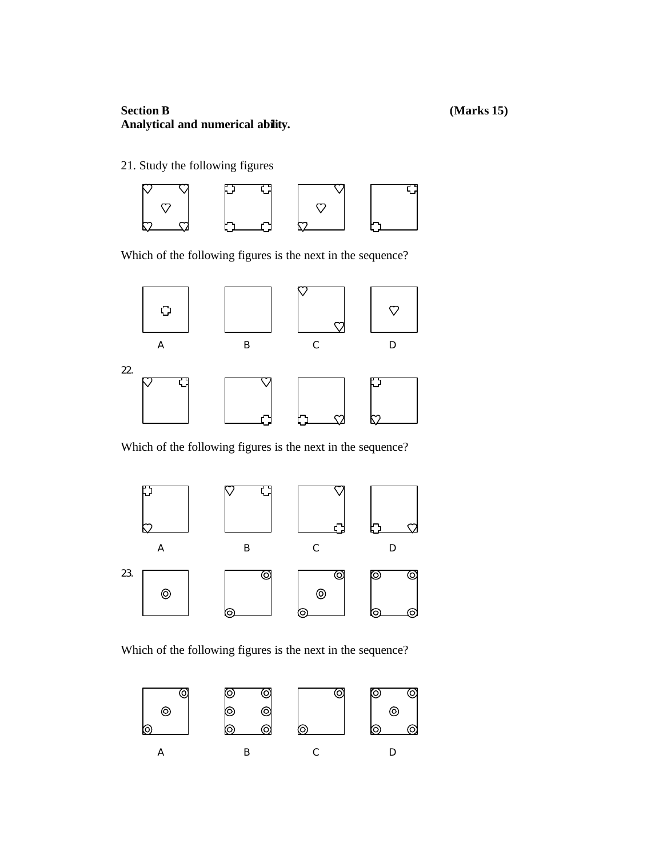# **Section B (Marks 15) Analytical and numerical ability.**

21. Study the following figures



Which of the following figures is the next in the sequence?



Which of the following figures is the next in the sequence?



Which of the following figures is the next in the sequence?

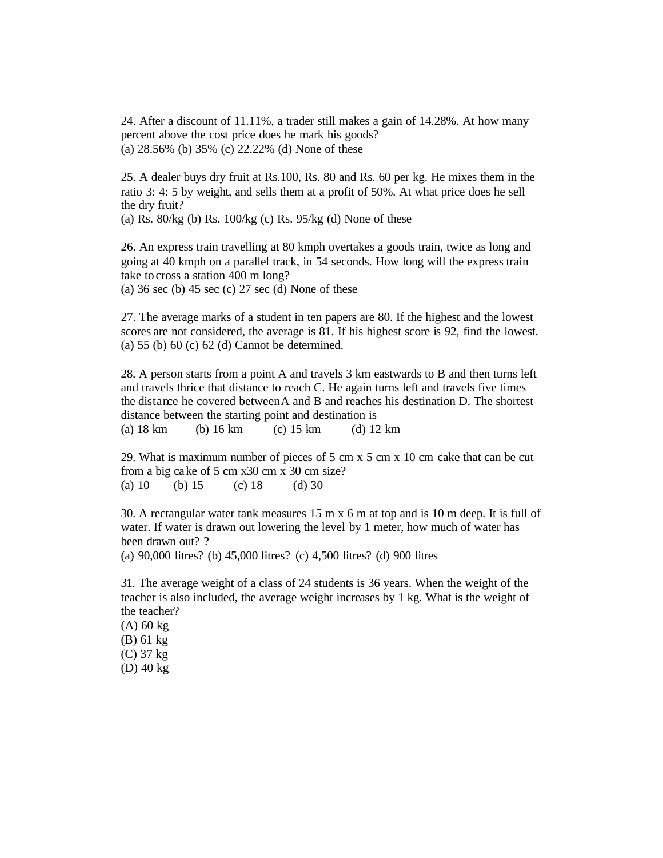24. After a discount of 11.11%, a trader still makes a gain of 14.28%. At how many percent above the cost price does he mark his goods? (a) 28.56% (b) 35% (c) 22.22% (d) None of these

25. A dealer buys dry fruit at Rs.100, Rs. 80 and Rs. 60 per kg. He mixes them in the ratio 3: 4: 5 by weight, and sells them at a profit of 50%. At what price does he sell the dry fruit?

(a) Rs.  $80/kg$  (b) Rs.  $100/kg$  (c) Rs.  $95/kg$  (d) None of these

26. An express train travelling at 80 kmph overtakes a goods train, twice as long and going at 40 kmph on a parallel track, in 54 seconds. How long will the express train take to cross a station 400 m long?

(a)  $36 \text{ sec}$  (b)  $45 \text{ sec}$  (c)  $27 \text{ sec}$  (d) None of these

27. The average marks of a student in ten papers are 80. If the highest and the lowest scores are not considered, the average is 81. If his highest score is 92, find the lowest. (a) 55 (b) 60 (c) 62 (d) Cannot be determined.

28. A person starts from a point A and travels 3 km eastwards to B and then turns left and travels thrice that distance to reach C. He again turns left and travels five times the distance he covered betweenA and B and reaches his destination D. The shortest distance between the starting point and destination is (a) 18 km (b) 16 km (c) 15 km (d) 12 km

29. What is maximum number of pieces of 5 cm x 5 cm x 10 cm cake that can be cut from a big cake of 5 cm x30 cm x 30 cm size? (a) 10 (b) 15 (c) 18 (d) 30

30. A rectangular water tank measures 15 m x 6 m at top and is 10 m deep. It is full of water. If water is drawn out lowering the level by 1 meter, how much of water has been drawn out? ?

(a) 90,000 litres? (b) 45,000 litres? (c) 4,500 litres? (d) 900 litres

31. The average weight of a class of 24 students is 36 years. When the weight of the teacher is also included, the average weight increases by 1 kg. What is the weight of the teacher?

(A) 60 kg (B) 61 kg (C) 37 kg (D) 40 kg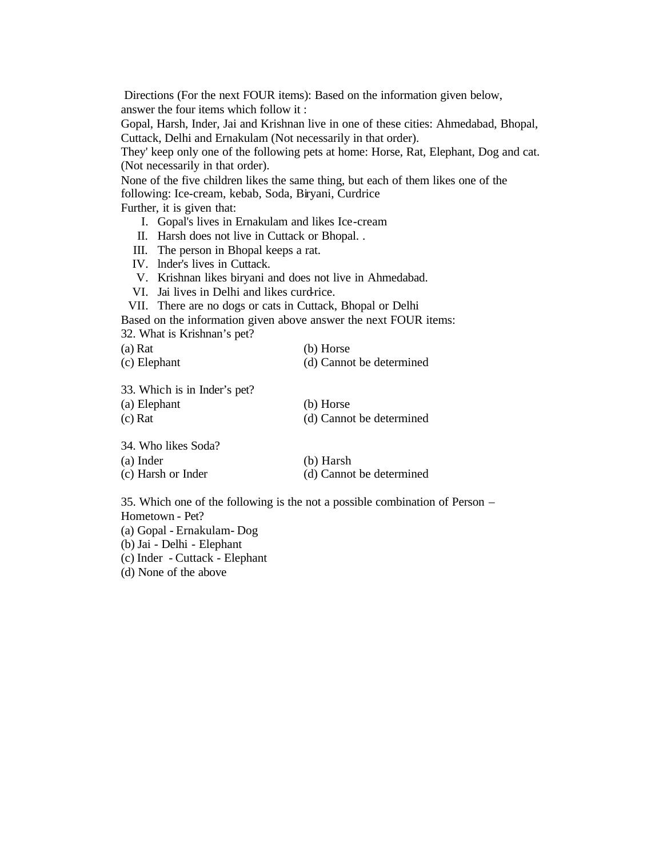Directions (For the next FOUR items): Based on the information given below, answer the four items which follow it :

Gopal, Harsh, Inder, Jai and Krishnan live in one of these cities: Ahmedabad, Bhopal, Cuttack, Delhi and Ernakulam (Not necessarily in that order).

They' keep only one of the following pets at home: Horse, Rat, Elephant, Dog and cat. (Not necessarily in that order).

None of the five children likes the same thing, but each of them likes one of the following: Ice-cream, kebab, Soda, Biryani, Curdrice

Further, it is given that:

- I. Gopal's lives in Ernakulam and likes Ice-cream
- II. Harsh does not live in Cuttack or Bhopal. .
- III. The person in Bhopal keeps a rat.
- IV. lnder's lives in Cuttack.
- V. Krishnan likes biryani and does not live in Ahmedabad.
- VI. Jai lives in Delhi and likes curd-rice.

VII. There are no dogs or cats in Cuttack, Bhopal or Delhi

Based on the information given above answer the next FOUR items:

32. What is Krishnan's pet?

| $(a)$ Rat    | (b) Horse                |
|--------------|--------------------------|
| (c) Elephant | (d) Cannot be determined |

33. Which is in Inder's pet?

| (a) Elephant        | (b) Horse                |
|---------------------|--------------------------|
| (c) Rat             | (d) Cannot be determined |
| 34. Who likes Soda? |                          |
| (a) Inder           | (b) Harsh                |

| $(a)$ much         | $(U)$ Hars $H$           |
|--------------------|--------------------------|
| (c) Harsh or Inder | (d) Cannot be determined |

35. Which one of the following is the not a possible combination of Person – Hometown - Pet?

(a) Gopal - Ernakulam- Dog

(b) Jai - Delhi - Elephant

(c) Inder - Cuttack - Elephant

(d) None of the above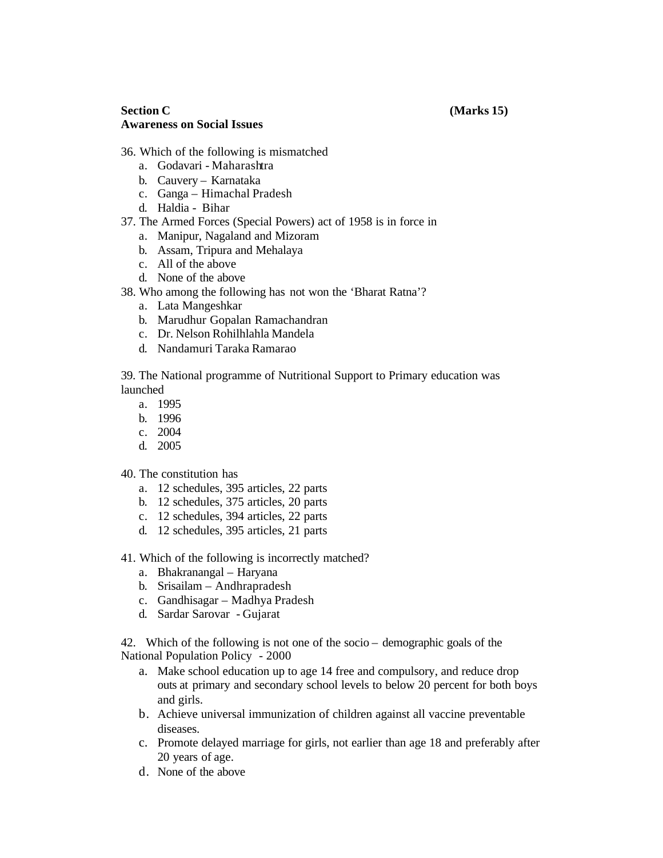### **Section C (Marks 15) Awareness on Social Issues**

- 36. Which of the following is mismatched
	- a. Godavari Maharashtra
	- b. Cauvery Karnataka
	- c. Ganga Himachal Pradesh
	- d. Haldia Bihar
- 37. The Armed Forces (Special Powers) act of 1958 is in force in
	- a. Manipur, Nagaland and Mizoram
	- b. Assam, Tripura and Mehalaya
	- c. All of the above
	- d. None of the above
- 38. Who among the following has not won the 'Bharat Ratna'?
	- a. Lata Mangeshkar
	- b. Marudhur Gopalan Ramachandran
	- c. Dr. Nelson Rohilhlahla Mandela
	- d. Nandamuri Taraka Ramarao

39. The National programme of Nutritional Support to Primary education was launched

- a. 1995
- b. 1996
- c. 2004
- d. 2005
- 40. The constitution has
	- a. 12 schedules, 395 articles, 22 parts
	- b. 12 schedules, 375 articles, 20 parts
	- c. 12 schedules, 394 articles, 22 parts
	- d. 12 schedules, 395 articles, 21 parts
- 41. Which of the following is incorrectly matched?
	- a. Bhakranangal Haryana
	- b. Srisailam Andhrapradesh
	- c. Gandhisagar Madhya Pradesh
	- d. Sardar Sarovar Gujarat

42. Which of the following is not one of the socio – demographic goals of the National Population Policy - 2000

- a. Make school education up to age 14 free and compulsory, and reduce drop outs at primary and secondary school levels to below 20 percent for both boys and girls.
- b. Achieve universal immunization of children against all vaccine preventable diseases.
- c. Promote delayed marriage for girls, not earlier than age 18 and preferably after 20 years of age.
- d. None of the above